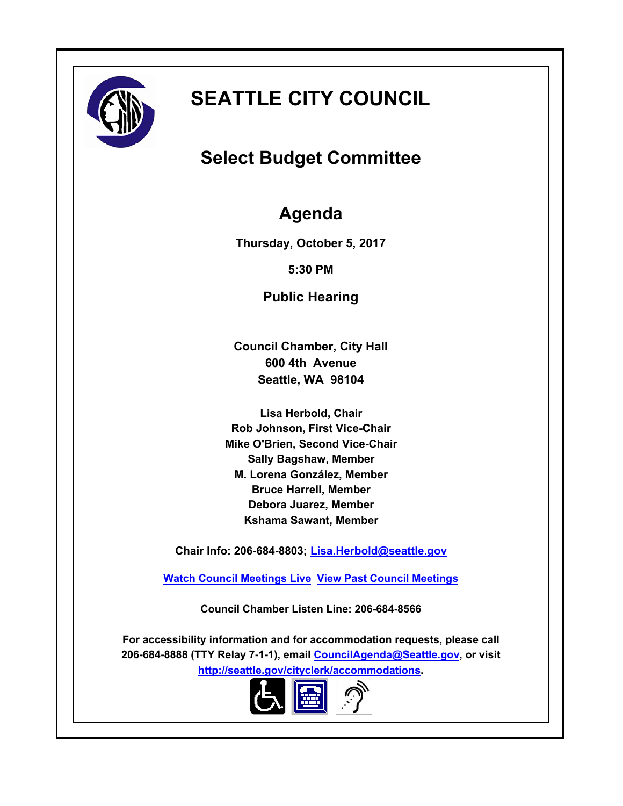

# **SEATTLE CITY COUNCIL**

# **Select Budget Committee**

## **Agenda**

**Thursday, October 5, 2017**

**5:30 PM**

**Public Hearing**

**Council Chamber, City Hall 600 4th Avenue Seattle, WA 98104**

**Lisa Herbold, Chair Rob Johnson, First Vice-Chair Mike O'Brien, Second Vice-Chair Sally Bagshaw, Member M. Lorena González, Member Bruce Harrell, Member Debora Juarez, Member Kshama Sawant, Member**

**Chair Info: 206-684-8803; [Lisa.Herbold@seattle.gov](mailto:Lisa.Herbold@seattle.gov)**

**[Watch Council Meetings Live](http://www.seattle.gov/council/councillive.htm) [View Past Council Meetings](http://www.seattlechannel.org/videos/browseVideos.asp?topic=council)**

**Council Chamber Listen Line: 206-684-8566**

**For accessibility information and for accommodation requests, please call 206-684-8888 (TTY Relay 7-1-1), email [CouncilAgenda@Seattle.gov](mailto: Council.Agenda@seattle.gov), or visit <http://seattle.gov/cityclerk/accommodations>.**

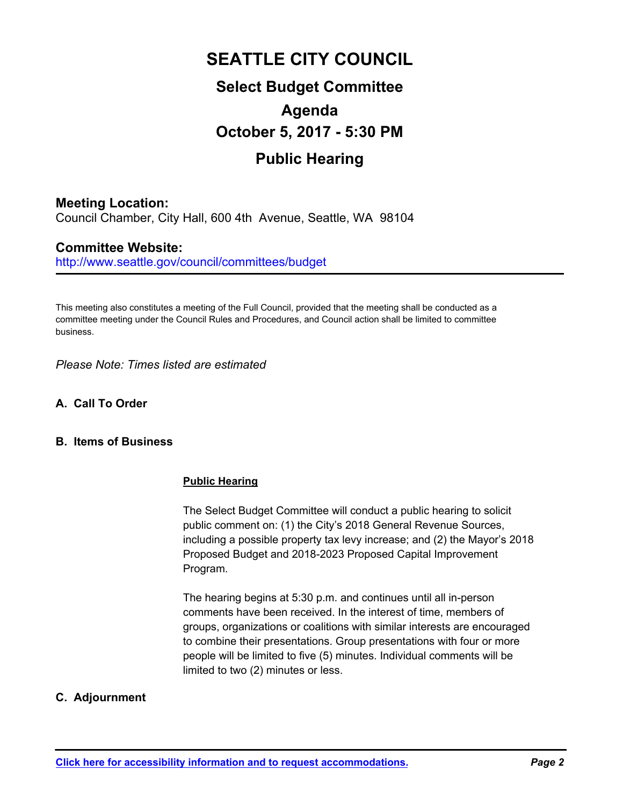# **SEATTLE CITY COUNCIL**

## **Select Budget Committee Agenda October 5, 2017 - 5:30 PM Public Hearing**

## **Meeting Location:**

Council Chamber, City Hall, 600 4th Avenue, Seattle, WA 98104

## **Committee Website:**

http://www.seattle.gov/council/committees/budget

This meeting also constitutes a meeting of the Full Council, provided that the meeting shall be conducted as a committee meeting under the Council Rules and Procedures, and Council action shall be limited to committee business.

*Please Note: Times listed are estimated*

**A. Call To Order**

#### **B. Items of Business**

#### **Public Hearing**

The Select Budget Committee will conduct a public hearing to solicit public comment on: (1) the City's 2018 General Revenue Sources, including a possible property tax levy increase; and (2) the Mayor's 2018 Proposed Budget and 2018-2023 Proposed Capital Improvement Program.

The hearing begins at 5:30 p.m. and continues until all in-person comments have been received. In the interest of time, members of groups, organizations or coalitions with similar interests are encouraged to combine their presentations. Group presentations with four or more people will be limited to five (5) minutes. Individual comments will be limited to two (2) minutes or less.

#### **C. Adjournment**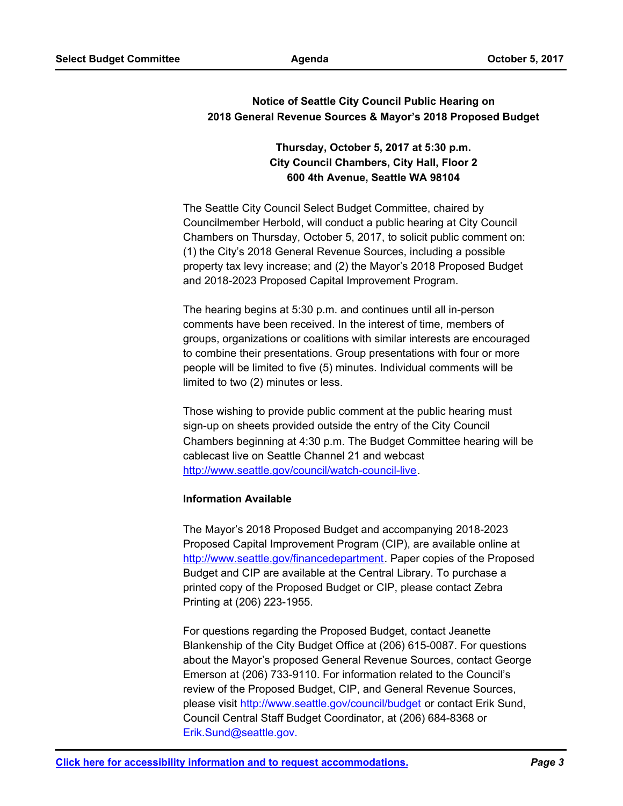#### **Notice of Seattle City Council Public Hearing on 2018 General Revenue Sources & Mayor's 2018 Proposed Budget**

## **Thursday, October 5, 2017 at 5:30 p.m. City Council Chambers, City Hall, Floor 2 600 4th Avenue, Seattle WA 98104**

The Seattle City Council Select Budget Committee, chaired by Councilmember Herbold, will conduct a public hearing at City Council Chambers on Thursday, October 5, 2017, to solicit public comment on: (1) the City's 2018 General Revenue Sources, including a possible property tax levy increase; and (2) the Mayor's 2018 Proposed Budget and 2018-2023 Proposed Capital Improvement Program.

The hearing begins at 5:30 p.m. and continues until all in-person comments have been received. In the interest of time, members of groups, organizations or coalitions with similar interests are encouraged to combine their presentations. Group presentations with four or more people will be limited to five (5) minutes. Individual comments will be limited to two (2) minutes or less.

Those wishing to provide public comment at the public hearing must sign-up on sheets provided outside the entry of the City Council Chambers beginning at 4:30 p.m. The Budget Committee hearing will be cablecast live on Seattle Channel 21 and webcast http://www.seattle.gov/council/watch-council-live.

#### **Information Available**

The Mayor's 2018 Proposed Budget and accompanying 2018-2023 Proposed Capital Improvement Program (CIP), are available online at http://www.seattle.gov/financedepartment. Paper copies of the Proposed Budget and CIP are available at the Central Library. To purchase a printed copy of the Proposed Budget or CIP, please contact Zebra Printing at (206) 223-1955.

For questions regarding the Proposed Budget, contact Jeanette Blankenship of the City Budget Office at (206) 615-0087. For questions about the Mayor's proposed General Revenue Sources, contact George Emerson at (206) 733-9110. For information related to the Council's review of the Proposed Budget, CIP, and General Revenue Sources, please visit http://www.seattle.gov/council/budget or contact Erik Sund, Council Central Staff Budget Coordinator, at (206) 684-8368 or Erik.Sund@seattle.gov.